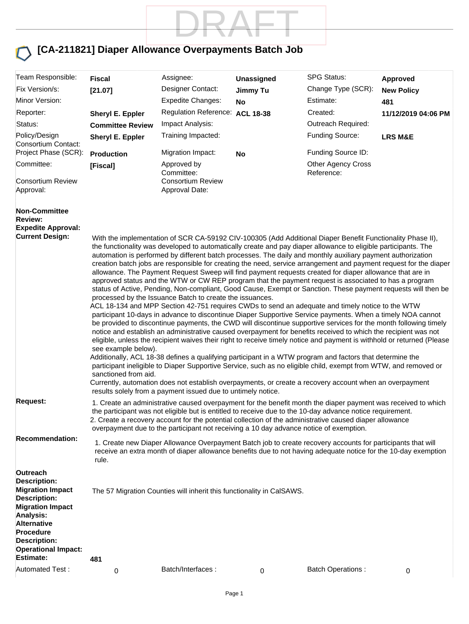

#### **[CA-211821] Diaper Allowance Overpayments Batch Job**

| Team Responsible:<br>Fix Version/s:<br>Minor Version:<br>Reporter:<br>Status:<br>Policy/Design<br>Consortium Contact:<br>Project Phase (SCR):                                                                                                       | <b>Fiscal</b><br>[21.07]<br>Sheryl E. Eppler<br><b>Committee Review</b><br>Sheryl E. Eppler                                                                                                                                                                                                                                                                                                                                                                                                                                                                                                                                                                                                                                                                                                                                                                                                                                                                                                                                                                                                                                                                                                                                                                                                                                                                                                                                                                                                                                                                                                                                                                                                                                                                                                                                                   | Assignee:<br>Designer Contact:<br><b>Expedite Changes:</b><br>Regulation Reference: ACL 18-38<br>Impact Analysis:<br>Training Impacted:<br>Migration Impact: | Unassigned<br>Jimmy Tu<br>No | <b>SPG Status:</b><br>Change Type (SCR):<br>Estimate:<br>Created:<br>Outreach Required:<br>Funding Source:<br>Funding Source ID:                                                                                              | <b>Approved</b><br><b>New Policy</b><br>481<br>11/12/2019 04:06 PM<br><b>LRS M&amp;E</b> |  |
|-----------------------------------------------------------------------------------------------------------------------------------------------------------------------------------------------------------------------------------------------------|-----------------------------------------------------------------------------------------------------------------------------------------------------------------------------------------------------------------------------------------------------------------------------------------------------------------------------------------------------------------------------------------------------------------------------------------------------------------------------------------------------------------------------------------------------------------------------------------------------------------------------------------------------------------------------------------------------------------------------------------------------------------------------------------------------------------------------------------------------------------------------------------------------------------------------------------------------------------------------------------------------------------------------------------------------------------------------------------------------------------------------------------------------------------------------------------------------------------------------------------------------------------------------------------------------------------------------------------------------------------------------------------------------------------------------------------------------------------------------------------------------------------------------------------------------------------------------------------------------------------------------------------------------------------------------------------------------------------------------------------------------------------------------------------------------------------------------------------------|--------------------------------------------------------------------------------------------------------------------------------------------------------------|------------------------------|-------------------------------------------------------------------------------------------------------------------------------------------------------------------------------------------------------------------------------|------------------------------------------------------------------------------------------|--|
| Committee:                                                                                                                                                                                                                                          | Production<br>[Fiscal]                                                                                                                                                                                                                                                                                                                                                                                                                                                                                                                                                                                                                                                                                                                                                                                                                                                                                                                                                                                                                                                                                                                                                                                                                                                                                                                                                                                                                                                                                                                                                                                                                                                                                                                                                                                                                        | Approved by<br>Committee:                                                                                                                                    | No                           | <b>Other Agency Cross</b><br>Reference:                                                                                                                                                                                       |                                                                                          |  |
| <b>Consortium Review</b><br>Approval:                                                                                                                                                                                                               |                                                                                                                                                                                                                                                                                                                                                                                                                                                                                                                                                                                                                                                                                                                                                                                                                                                                                                                                                                                                                                                                                                                                                                                                                                                                                                                                                                                                                                                                                                                                                                                                                                                                                                                                                                                                                                               | <b>Consortium Review</b><br>Approval Date:                                                                                                                   |                              |                                                                                                                                                                                                                               |                                                                                          |  |
| <b>Non-Committee</b><br><b>Review:</b><br><b>Expedite Approval:</b><br><b>Current Design:</b>                                                                                                                                                       | With the implementation of SCR CA-59192 CIV-100305 (Add Additional Diaper Benefit Functionality Phase II),<br>the functionality was developed to automatically create and pay diaper allowance to eligible participants. The<br>automation is performed by different batch processes. The daily and monthly auxiliary payment authorization<br>creation batch jobs are responsible for creating the need, service arrangement and payment request for the diaper<br>allowance. The Payment Request Sweep will find payment requests created for diaper allowance that are in<br>approved status and the WTW or CW REP program that the payment request is associated to has a program<br>status of Active, Pending, Non-compliant, Good Cause, Exempt or Sanction. These payment requests will then be<br>processed by the Issuance Batch to create the issuances.<br>ACL 18-134 and MPP Section 42-751 requires CWDs to send an adequate and timely notice to the WTW<br>participant 10-days in advance to discontinue Diaper Supportive Service payments. When a timely NOA cannot<br>be provided to discontinue payments, the CWD will discontinue supportive services for the month following timely<br>notice and establish an administrative caused overpayment for benefits received to which the recipient was not<br>eligible, unless the recipient waives their right to receive timely notice and payment is withhold or returned (Please<br>see example below).<br>Additionally, ACL 18-38 defines a qualifying participant in a WTW program and factors that determine the<br>participant ineligible to Diaper Supportive Service, such as no eligible child, exempt from WTW, and removed or<br>sanctioned from aid.<br>Currently, automation does not establish overpayments, or create a recovery account when an overpayment |                                                                                                                                                              |                              |                                                                                                                                                                                                                               |                                                                                          |  |
| <b>Request:</b>                                                                                                                                                                                                                                     | 1. Create an administrative caused overpayment for the benefit month the diaper payment was received to which<br>the participant was not eligible but is entitled to receive due to the 10-day advance notice requirement.<br>2. Create a recovery account for the potential collection of the administrative caused diaper allowance<br>overpayment due to the participant not receiving a 10 day advance notice of exemption.                                                                                                                                                                                                                                                                                                                                                                                                                                                                                                                                                                                                                                                                                                                                                                                                                                                                                                                                                                                                                                                                                                                                                                                                                                                                                                                                                                                                               |                                                                                                                                                              |                              |                                                                                                                                                                                                                               |                                                                                          |  |
| <b>Recommendation:</b>                                                                                                                                                                                                                              | rule.                                                                                                                                                                                                                                                                                                                                                                                                                                                                                                                                                                                                                                                                                                                                                                                                                                                                                                                                                                                                                                                                                                                                                                                                                                                                                                                                                                                                                                                                                                                                                                                                                                                                                                                                                                                                                                         |                                                                                                                                                              |                              | 1. Create new Diaper Allowance Overpayment Batch job to create recovery accounts for participants that will<br>receive an extra month of diaper allowance benefits due to not having adequate notice for the 10-day exemption |                                                                                          |  |
| Outreach<br><b>Description:</b><br><b>Migration Impact</b><br><b>Description:</b><br><b>Migration Impact</b><br><b>Analysis:</b><br><b>Alternative</b><br><b>Procedure</b><br><b>Description:</b><br><b>Operational Impact:</b><br><b>Estimate:</b> | 481                                                                                                                                                                                                                                                                                                                                                                                                                                                                                                                                                                                                                                                                                                                                                                                                                                                                                                                                                                                                                                                                                                                                                                                                                                                                                                                                                                                                                                                                                                                                                                                                                                                                                                                                                                                                                                           | The 57 Migration Counties will inherit this functionality in CalSAWS.                                                                                        |                              |                                                                                                                                                                                                                               |                                                                                          |  |
| Automated Test:                                                                                                                                                                                                                                     | 0                                                                                                                                                                                                                                                                                                                                                                                                                                                                                                                                                                                                                                                                                                                                                                                                                                                                                                                                                                                                                                                                                                                                                                                                                                                                                                                                                                                                                                                                                                                                                                                                                                                                                                                                                                                                                                             | Batch/Interfaces:                                                                                                                                            | 0                            | <b>Batch Operations:</b>                                                                                                                                                                                                      | 0                                                                                        |  |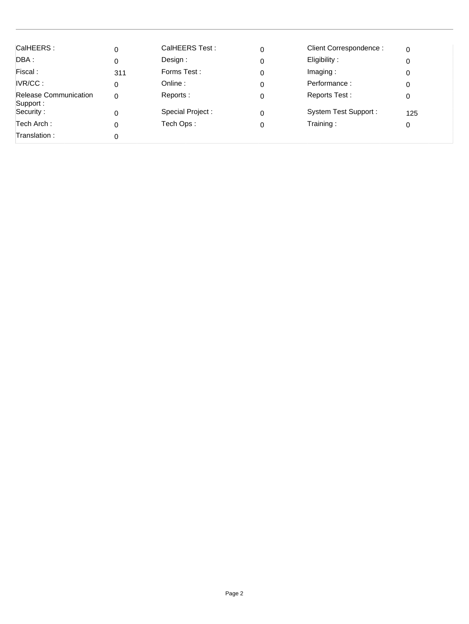| CalHEERS:                                | 0   | CalHEERS Test:   | 0 | Client Correspondence: | $\Omega$ |
|------------------------------------------|-----|------------------|---|------------------------|----------|
| DBA :                                    | 0   | Design:          | 0 | Eligibility:           | 0        |
| Fiscal:                                  | 311 | Forms Test:      | 0 | Imaging:               | 0        |
| IVR/CC:                                  | 0   | Online:          | 0 | Performance:           | 0        |
| <b>Release Communication</b><br>Support: | 0   | Reports:         | 0 | Reports Test:          | 0        |
| Security:                                | 0   | Special Project: | 0 | System Test Support:   | 125      |
| Tech Arch :                              | 0   | Tech Ops:        | 0 | Training:              | 0        |
| Translation :                            | 0   |                  |   |                        |          |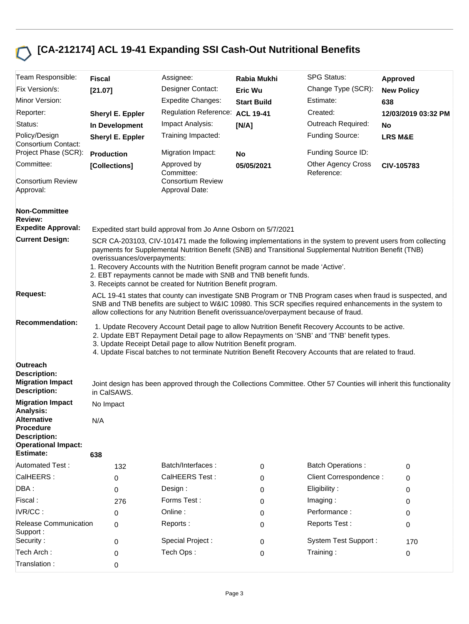## **[CA-212174] ACL 19-41 Expanding SSI Cash-Out Nutritional Benefits**

| Team Responsible:                                                                                                            | <b>Fiscal</b>                                                                                                                                                                                                                                                                                                                                                                                                                                                                                                                                                                                                                                                                                        |  | Assignee:                                                      | Rabia Mukhi        | <b>SPG Status:</b>                                                                                                  | Approved            |
|------------------------------------------------------------------------------------------------------------------------------|------------------------------------------------------------------------------------------------------------------------------------------------------------------------------------------------------------------------------------------------------------------------------------------------------------------------------------------------------------------------------------------------------------------------------------------------------------------------------------------------------------------------------------------------------------------------------------------------------------------------------------------------------------------------------------------------------|--|----------------------------------------------------------------|--------------------|---------------------------------------------------------------------------------------------------------------------|---------------------|
| Fix Version/s:                                                                                                               | [21.07]                                                                                                                                                                                                                                                                                                                                                                                                                                                                                                                                                                                                                                                                                              |  | Designer Contact:                                              | <b>Eric Wu</b>     | Change Type (SCR):                                                                                                  | <b>New Policy</b>   |
| Minor Version:                                                                                                               |                                                                                                                                                                                                                                                                                                                                                                                                                                                                                                                                                                                                                                                                                                      |  | <b>Expedite Changes:</b>                                       | <b>Start Build</b> | Estimate:                                                                                                           | 638                 |
| Reporter:                                                                                                                    | Sheryl E. Eppler                                                                                                                                                                                                                                                                                                                                                                                                                                                                                                                                                                                                                                                                                     |  | <b>Regulation Reference:</b>                                   | <b>ACL 19-41</b>   | Created:                                                                                                            | 12/03/2019 03:32 PM |
| Status:                                                                                                                      | In Development                                                                                                                                                                                                                                                                                                                                                                                                                                                                                                                                                                                                                                                                                       |  | Impact Analysis:                                               | [N/A]              | Outreach Required:                                                                                                  | No                  |
| Policy/Design<br>Consortium Contact:                                                                                         | Sheryl E. Eppler                                                                                                                                                                                                                                                                                                                                                                                                                                                                                                                                                                                                                                                                                     |  | Training Impacted:                                             |                    | Funding Source:                                                                                                     | <b>LRS M&amp;E</b>  |
| Project Phase (SCR):                                                                                                         | <b>Production</b>                                                                                                                                                                                                                                                                                                                                                                                                                                                                                                                                                                                                                                                                                    |  | Migration Impact:                                              | No                 | Funding Source ID:                                                                                                  |                     |
| Committee:<br><b>Consortium Review</b>                                                                                       | [Collections]                                                                                                                                                                                                                                                                                                                                                                                                                                                                                                                                                                                                                                                                                        |  | Approved by<br>Committee:<br><b>Consortium Review</b>          | 05/05/2021         | <b>Other Agency Cross</b><br>Reference:                                                                             | CIV-105783          |
| Approval:                                                                                                                    |                                                                                                                                                                                                                                                                                                                                                                                                                                                                                                                                                                                                                                                                                                      |  | Approval Date:                                                 |                    |                                                                                                                     |                     |
| <b>Non-Committee</b><br><b>Review:</b>                                                                                       |                                                                                                                                                                                                                                                                                                                                                                                                                                                                                                                                                                                                                                                                                                      |  |                                                                |                    |                                                                                                                     |                     |
| <b>Expedite Approval:</b>                                                                                                    |                                                                                                                                                                                                                                                                                                                                                                                                                                                                                                                                                                                                                                                                                                      |  | Expedited start build approval from Jo Anne Osborn on 5/7/2021 |                    |                                                                                                                     |                     |
| <b>Current Design:</b>                                                                                                       | SCR CA-203103, CIV-101471 made the following implementations in the system to prevent users from collecting<br>payments for Supplemental Nutrition Benefit (SNB) and Transitional Supplemental Nutrition Benefit (TNB)<br>overissuances/overpayments:<br>1. Recovery Accounts with the Nutrition Benefit program cannot be made 'Active'.<br>2. EBT repayments cannot be made with SNB and TNB benefit funds.<br>3. Receipts cannot be created for Nutrition Benefit program.                                                                                                                                                                                                                        |  |                                                                |                    |                                                                                                                     |                     |
| <b>Request:</b>                                                                                                              | ACL 19-41 states that county can investigate SNB Program or TNB Program cases when fraud is suspected, and<br>SNB and TNB benefits are subject to W&IC 10980. This SCR specifies required enhancements in the system to<br>allow collections for any Nutrition Benefit overissuance/overpayment because of fraud.<br>1. Update Recovery Account Detail page to allow Nutrition Benefit Recovery Accounts to be active.<br>2. Update EBT Repayment Detail page to allow Repayments on 'SNB' and 'TNB' benefit types.<br>3. Update Receipt Detail page to allow Nutrition Benefit program.<br>4. Update Fiscal batches to not terminate Nutrition Benefit Recovery Accounts that are related to fraud. |  |                                                                |                    |                                                                                                                     |                     |
| <b>Recommendation:</b>                                                                                                       |                                                                                                                                                                                                                                                                                                                                                                                                                                                                                                                                                                                                                                                                                                      |  |                                                                |                    |                                                                                                                     |                     |
| Outreach<br><b>Description:</b><br><b>Migration Impact</b><br><b>Description:</b>                                            | in CalSAWS.                                                                                                                                                                                                                                                                                                                                                                                                                                                                                                                                                                                                                                                                                          |  |                                                                |                    | Joint design has been approved through the Collections Committee. Other 57 Counties will inherit this functionality |                     |
| <b>Migration Impact</b>                                                                                                      | No Impact                                                                                                                                                                                                                                                                                                                                                                                                                                                                                                                                                                                                                                                                                            |  |                                                                |                    |                                                                                                                     |                     |
| Analysis:<br><b>Alternative</b><br><b>Procedure</b><br><b>Description:</b><br><b>Operational Impact:</b><br><b>Estimate:</b> | N/A<br>638                                                                                                                                                                                                                                                                                                                                                                                                                                                                                                                                                                                                                                                                                           |  |                                                                |                    |                                                                                                                     |                     |
| <b>Automated Test:</b>                                                                                                       | 132                                                                                                                                                                                                                                                                                                                                                                                                                                                                                                                                                                                                                                                                                                  |  | Batch/Interfaces:                                              | 0                  | <b>Batch Operations:</b>                                                                                            | 0                   |
| CalHEERS:                                                                                                                    | 0                                                                                                                                                                                                                                                                                                                                                                                                                                                                                                                                                                                                                                                                                                    |  | CalHEERS Test:                                                 | 0                  | Client Correspondence :                                                                                             | 0                   |
| DBA:                                                                                                                         | 0                                                                                                                                                                                                                                                                                                                                                                                                                                                                                                                                                                                                                                                                                                    |  | Design:                                                        | 0                  | Eligibility:                                                                                                        | 0                   |
| Fiscal:                                                                                                                      | 276                                                                                                                                                                                                                                                                                                                                                                                                                                                                                                                                                                                                                                                                                                  |  | Forms Test:                                                    | 0                  | Imaging:                                                                                                            | 0                   |
| IVR/CC:                                                                                                                      | 0                                                                                                                                                                                                                                                                                                                                                                                                                                                                                                                                                                                                                                                                                                    |  | Online:                                                        | 0                  | Performance:                                                                                                        | 0                   |
| <b>Release Communication</b><br>Support:                                                                                     | 0                                                                                                                                                                                                                                                                                                                                                                                                                                                                                                                                                                                                                                                                                                    |  | Reports:                                                       | 0                  | Reports Test:                                                                                                       | 0                   |
| Security:                                                                                                                    | 0                                                                                                                                                                                                                                                                                                                                                                                                                                                                                                                                                                                                                                                                                                    |  | Special Project :                                              | 0                  | <b>System Test Support:</b>                                                                                         | 170                 |
| Tech Arch:                                                                                                                   | 0                                                                                                                                                                                                                                                                                                                                                                                                                                                                                                                                                                                                                                                                                                    |  | Tech Ops:                                                      | 0                  | Training:                                                                                                           | 0                   |
| Translation:                                                                                                                 | 0                                                                                                                                                                                                                                                                                                                                                                                                                                                                                                                                                                                                                                                                                                    |  |                                                                |                    |                                                                                                                     |                     |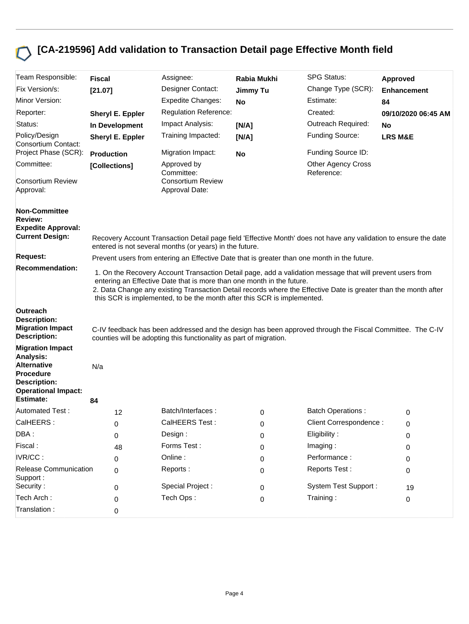# **[CA-219596] Add validation to Transaction Detail page Effective Month field**

| Team Responsible:                                                                 | <b>Fiscal</b>                                                                                                                                                                                                                                                                                                                                                                    | Assignee:                                                                                                                                                                      | Rabia Mukhi     | <b>SPG Status:</b>                      | Approved            |  |
|-----------------------------------------------------------------------------------|----------------------------------------------------------------------------------------------------------------------------------------------------------------------------------------------------------------------------------------------------------------------------------------------------------------------------------------------------------------------------------|--------------------------------------------------------------------------------------------------------------------------------------------------------------------------------|-----------------|-----------------------------------------|---------------------|--|
| Fix Version/s:                                                                    | [21.07]                                                                                                                                                                                                                                                                                                                                                                          | Designer Contact:                                                                                                                                                              | <b>Jimmy Tu</b> | Change Type (SCR):                      | <b>Enhancement</b>  |  |
| Minor Version:                                                                    |                                                                                                                                                                                                                                                                                                                                                                                  | <b>Expedite Changes:</b>                                                                                                                                                       | <b>No</b>       | Estimate:                               | 84                  |  |
| Reporter:                                                                         | Sheryl E. Eppler                                                                                                                                                                                                                                                                                                                                                                 | <b>Regulation Reference:</b>                                                                                                                                                   |                 | Created:                                | 09/10/2020 06:45 AM |  |
| Status:                                                                           | In Development                                                                                                                                                                                                                                                                                                                                                                   | Impact Analysis:                                                                                                                                                               | [N/A]           | Outreach Required:                      | No                  |  |
| Policy/Design<br>Consortium Contact:                                              | Sheryl E. Eppler                                                                                                                                                                                                                                                                                                                                                                 | Training Impacted:                                                                                                                                                             | [N/A]           | <b>Funding Source:</b>                  | <b>LRS M&amp;E</b>  |  |
| Project Phase (SCR):                                                              | <b>Production</b>                                                                                                                                                                                                                                                                                                                                                                | Migration Impact:                                                                                                                                                              | <b>No</b>       | Funding Source ID:                      |                     |  |
| Committee:                                                                        | [Collections]                                                                                                                                                                                                                                                                                                                                                                    | Approved by<br>Committee:                                                                                                                                                      |                 | <b>Other Agency Cross</b><br>Reference: |                     |  |
| <b>Consortium Review</b><br>Approval:                                             |                                                                                                                                                                                                                                                                                                                                                                                  | <b>Consortium Review</b><br>Approval Date:                                                                                                                                     |                 |                                         |                     |  |
| <b>Non-Committee</b>                                                              |                                                                                                                                                                                                                                                                                                                                                                                  |                                                                                                                                                                                |                 |                                         |                     |  |
| <b>Review:</b><br><b>Expedite Approval:</b>                                       |                                                                                                                                                                                                                                                                                                                                                                                  |                                                                                                                                                                                |                 |                                         |                     |  |
| <b>Current Design:</b>                                                            |                                                                                                                                                                                                                                                                                                                                                                                  | Recovery Account Transaction Detail page field 'Effective Month' does not have any validation to ensure the date<br>entered is not several months (or years) in the future.    |                 |                                         |                     |  |
| <b>Request:</b>                                                                   |                                                                                                                                                                                                                                                                                                                                                                                  | Prevent users from entering an Effective Date that is greater than one month in the future.                                                                                    |                 |                                         |                     |  |
| <b>Recommendation:</b>                                                            | 1. On the Recovery Account Transaction Detail page, add a validation message that will prevent users from<br>entering an Effective Date that is more than one month in the future.<br>2. Data Change any existing Transaction Detail records where the Effective Date is greater than the month after<br>this SCR is implemented, to be the month after this SCR is implemented. |                                                                                                                                                                                |                 |                                         |                     |  |
| Outreach<br><b>Description:</b><br><b>Migration Impact</b><br><b>Description:</b> |                                                                                                                                                                                                                                                                                                                                                                                  | C-IV feedback has been addressed and the design has been approved through the Fiscal Committee. The C-IV<br>counties will be adopting this functionality as part of migration. |                 |                                         |                     |  |
| <b>Migration Impact</b>                                                           |                                                                                                                                                                                                                                                                                                                                                                                  |                                                                                                                                                                                |                 |                                         |                     |  |
| Analysis:<br><b>Alternative</b><br><b>Procedure</b><br><b>Description:</b>        | N/a                                                                                                                                                                                                                                                                                                                                                                              |                                                                                                                                                                                |                 |                                         |                     |  |
| <b>Operational Impact:</b><br><b>Estimate:</b>                                    |                                                                                                                                                                                                                                                                                                                                                                                  |                                                                                                                                                                                |                 |                                         |                     |  |
| <b>Automated Test:</b>                                                            | 84                                                                                                                                                                                                                                                                                                                                                                               | Batch/Interfaces:                                                                                                                                                              |                 | <b>Batch Operations:</b>                |                     |  |
| CalHEERS:                                                                         | 12                                                                                                                                                                                                                                                                                                                                                                               | CalHEERS Test:                                                                                                                                                                 | 0               | Client Correspondence :                 | 0                   |  |
| DBA:                                                                              | 0<br>0                                                                                                                                                                                                                                                                                                                                                                           | Design :                                                                                                                                                                       | 0<br>0          | Eligibility:                            | 0<br>0              |  |
| Fiscal:                                                                           | 48                                                                                                                                                                                                                                                                                                                                                                               | Forms Test:                                                                                                                                                                    | 0               | Imaging:                                | 0                   |  |
| IVR/CC:                                                                           | 0                                                                                                                                                                                                                                                                                                                                                                                | Online:                                                                                                                                                                        | 0               | Performance:                            | 0                   |  |
| Release Communication<br>Support:                                                 | 0                                                                                                                                                                                                                                                                                                                                                                                | Reports:                                                                                                                                                                       | 0               | Reports Test:                           | 0                   |  |
| Security:                                                                         | 0                                                                                                                                                                                                                                                                                                                                                                                | Special Project :                                                                                                                                                              | 0               | <b>System Test Support:</b>             | 19                  |  |
| Tech Arch:                                                                        | 0                                                                                                                                                                                                                                                                                                                                                                                | Tech Ops:                                                                                                                                                                      | 0               | Training:                               | 0                   |  |
| Translation:                                                                      | 0                                                                                                                                                                                                                                                                                                                                                                                |                                                                                                                                                                                |                 |                                         |                     |  |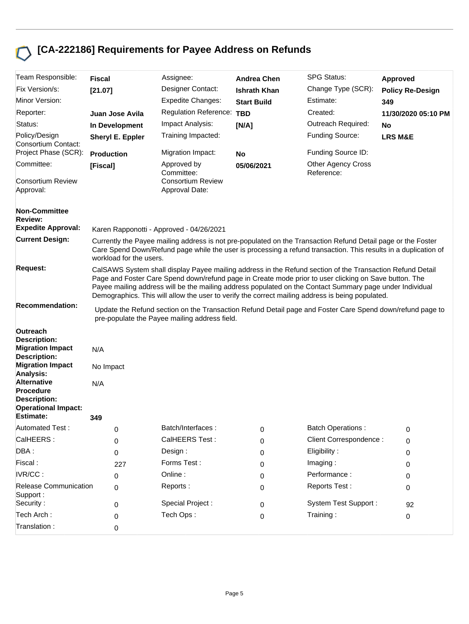## **[CA-222186] Requirements for Payee Address on Refunds**

| Team Responsible:                                                                           | <b>Fiscal</b>                                                                                                                                                                                                                                                                                                                                                                                                                      | Assignee:                                                                                                                                                                                                                                                                   | <b>Andrea Chen</b>  | <b>SPG Status:</b>                      | Approved                |  |  |
|---------------------------------------------------------------------------------------------|------------------------------------------------------------------------------------------------------------------------------------------------------------------------------------------------------------------------------------------------------------------------------------------------------------------------------------------------------------------------------------------------------------------------------------|-----------------------------------------------------------------------------------------------------------------------------------------------------------------------------------------------------------------------------------------------------------------------------|---------------------|-----------------------------------------|-------------------------|--|--|
| Fix Version/s:                                                                              | [21.07]                                                                                                                                                                                                                                                                                                                                                                                                                            | Designer Contact:                                                                                                                                                                                                                                                           | <b>Ishrath Khan</b> | Change Type (SCR):                      | <b>Policy Re-Design</b> |  |  |
| Minor Version:                                                                              |                                                                                                                                                                                                                                                                                                                                                                                                                                    | <b>Expedite Changes:</b>                                                                                                                                                                                                                                                    | <b>Start Build</b>  | Estimate:                               | 349                     |  |  |
| Reporter:                                                                                   | Juan Jose Avila                                                                                                                                                                                                                                                                                                                                                                                                                    | <b>Regulation Reference:</b>                                                                                                                                                                                                                                                | <b>TBD</b>          | Created:                                | 11/30/2020 05:10 PM     |  |  |
| Status:                                                                                     | In Development                                                                                                                                                                                                                                                                                                                                                                                                                     | Impact Analysis:                                                                                                                                                                                                                                                            | [N/A]               | Outreach Required:                      | No                      |  |  |
| Policy/Design<br>Consortium Contact:                                                        | Sheryl E. Eppler                                                                                                                                                                                                                                                                                                                                                                                                                   | Training Impacted:                                                                                                                                                                                                                                                          |                     | Funding Source:                         | <b>LRS M&amp;E</b>      |  |  |
| Project Phase (SCR):                                                                        | <b>Production</b>                                                                                                                                                                                                                                                                                                                                                                                                                  | Migration Impact:                                                                                                                                                                                                                                                           | No                  | Funding Source ID:                      |                         |  |  |
| Committee:                                                                                  | [Fiscal]                                                                                                                                                                                                                                                                                                                                                                                                                           | Approved by<br>Committee:                                                                                                                                                                                                                                                   | 05/06/2021          | <b>Other Agency Cross</b><br>Reference: |                         |  |  |
| <b>Consortium Review</b><br>Approval:                                                       |                                                                                                                                                                                                                                                                                                                                                                                                                                    | <b>Consortium Review</b><br>Approval Date:                                                                                                                                                                                                                                  |                     |                                         |                         |  |  |
| <b>Non-Committee</b><br><b>Review:</b><br><b>Expedite Approval:</b>                         |                                                                                                                                                                                                                                                                                                                                                                                                                                    |                                                                                                                                                                                                                                                                             |                     |                                         |                         |  |  |
| <b>Current Design:</b>                                                                      | workload for the users.                                                                                                                                                                                                                                                                                                                                                                                                            | Karen Rapponotti - Approved - 04/26/2021<br>Currently the Payee mailing address is not pre-populated on the Transaction Refund Detail page or the Foster<br>Care Spend Down/Refund page while the user is processing a refund transaction. This results in a duplication of |                     |                                         |                         |  |  |
| <b>Request:</b>                                                                             | CalSAWS System shall display Payee mailing address in the Refund section of the Transaction Refund Detail<br>Page and Foster Care Spend down/refund page in Create mode prior to user clicking on Save button. The<br>Payee mailing address will be the mailing address populated on the Contact Summary page under Individual<br>Demographics. This will allow the user to verify the correct mailing address is being populated. |                                                                                                                                                                                                                                                                             |                     |                                         |                         |  |  |
| <b>Recommendation:</b>                                                                      |                                                                                                                                                                                                                                                                                                                                                                                                                                    | Update the Refund section on the Transaction Refund Detail page and Foster Care Spend down/refund page to<br>pre-populate the Payee mailing address field.                                                                                                                  |                     |                                         |                         |  |  |
| Outreach<br><b>Description:</b>                                                             |                                                                                                                                                                                                                                                                                                                                                                                                                                    |                                                                                                                                                                                                                                                                             |                     |                                         |                         |  |  |
| <b>Migration Impact</b><br><b>Description:</b>                                              | N/A                                                                                                                                                                                                                                                                                                                                                                                                                                |                                                                                                                                                                                                                                                                             |                     |                                         |                         |  |  |
| <b>Migration Impact</b><br>Analysis:                                                        | No Impact                                                                                                                                                                                                                                                                                                                                                                                                                          |                                                                                                                                                                                                                                                                             |                     |                                         |                         |  |  |
| <b>Alternative</b><br><b>Procedure</b><br><b>Description:</b><br><b>Operational Impact:</b> | N/A                                                                                                                                                                                                                                                                                                                                                                                                                                |                                                                                                                                                                                                                                                                             |                     |                                         |                         |  |  |
| <b>Estimate:</b>                                                                            | 349                                                                                                                                                                                                                                                                                                                                                                                                                                |                                                                                                                                                                                                                                                                             |                     |                                         |                         |  |  |
| <b>Automated Test:</b>                                                                      | 0                                                                                                                                                                                                                                                                                                                                                                                                                                  | Batch/Interfaces:                                                                                                                                                                                                                                                           | 0                   | <b>Batch Operations:</b>                | 0                       |  |  |
| CalHEERS:                                                                                   | 0                                                                                                                                                                                                                                                                                                                                                                                                                                  | CalHEERS Test:                                                                                                                                                                                                                                                              | 0                   | Client Correspondence :                 | 0                       |  |  |
| DBA:                                                                                        | 0                                                                                                                                                                                                                                                                                                                                                                                                                                  | Design:                                                                                                                                                                                                                                                                     | 0                   | Eligibility:                            | 0                       |  |  |
| Fiscal:                                                                                     | 227                                                                                                                                                                                                                                                                                                                                                                                                                                | Forms Test:                                                                                                                                                                                                                                                                 | 0                   | Imaging:                                | 0                       |  |  |
| IVR/CC:                                                                                     | 0                                                                                                                                                                                                                                                                                                                                                                                                                                  | Online:                                                                                                                                                                                                                                                                     | 0                   | Performance:                            | 0                       |  |  |
| <b>Release Communication</b><br>Support:                                                    | 0                                                                                                                                                                                                                                                                                                                                                                                                                                  | Reports:                                                                                                                                                                                                                                                                    | 0                   | Reports Test:                           | 0                       |  |  |
| Security:                                                                                   | 0                                                                                                                                                                                                                                                                                                                                                                                                                                  | Special Project :                                                                                                                                                                                                                                                           | 0                   | System Test Support:                    | 92                      |  |  |
| Tech Arch:                                                                                  | 0                                                                                                                                                                                                                                                                                                                                                                                                                                  | Tech Ops:                                                                                                                                                                                                                                                                   | 0                   | Training:                               | 0                       |  |  |
| Translation:                                                                                | 0                                                                                                                                                                                                                                                                                                                                                                                                                                  |                                                                                                                                                                                                                                                                             |                     |                                         |                         |  |  |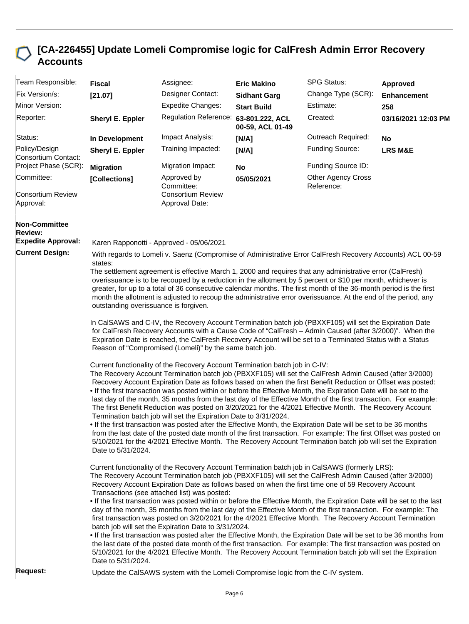#### **[CA-226455] Update Lomeli Compromise logic for CalFresh Admin Error Recovery Accounts**

| Team Responsible:                                                   | <b>Fiscal</b>                                                                                                                                                                                                                                                                                                                                                                                                                                                                                                                                                                                                                                                                                                                                                                                                                                                                                                                                                                                                                                                                                                                                                            | Assignee:                                                                                                                                                                                                                                                                                                                                                                                                                                                                                                                                                                                                                                                                                                                                                                                                                                                                                                                                                                                                                                                                               | <b>Eric Makino</b>  | <b>SPG Status:</b>                      | Approved            |  |  |
|---------------------------------------------------------------------|--------------------------------------------------------------------------------------------------------------------------------------------------------------------------------------------------------------------------------------------------------------------------------------------------------------------------------------------------------------------------------------------------------------------------------------------------------------------------------------------------------------------------------------------------------------------------------------------------------------------------------------------------------------------------------------------------------------------------------------------------------------------------------------------------------------------------------------------------------------------------------------------------------------------------------------------------------------------------------------------------------------------------------------------------------------------------------------------------------------------------------------------------------------------------|-----------------------------------------------------------------------------------------------------------------------------------------------------------------------------------------------------------------------------------------------------------------------------------------------------------------------------------------------------------------------------------------------------------------------------------------------------------------------------------------------------------------------------------------------------------------------------------------------------------------------------------------------------------------------------------------------------------------------------------------------------------------------------------------------------------------------------------------------------------------------------------------------------------------------------------------------------------------------------------------------------------------------------------------------------------------------------------------|---------------------|-----------------------------------------|---------------------|--|--|
| Fix Version/s:                                                      | [21.07]                                                                                                                                                                                                                                                                                                                                                                                                                                                                                                                                                                                                                                                                                                                                                                                                                                                                                                                                                                                                                                                                                                                                                                  | Designer Contact:                                                                                                                                                                                                                                                                                                                                                                                                                                                                                                                                                                                                                                                                                                                                                                                                                                                                                                                                                                                                                                                                       | <b>Sidhant Garg</b> | Change Type (SCR):                      | <b>Enhancement</b>  |  |  |
| Minor Version:                                                      |                                                                                                                                                                                                                                                                                                                                                                                                                                                                                                                                                                                                                                                                                                                                                                                                                                                                                                                                                                                                                                                                                                                                                                          | <b>Expedite Changes:</b>                                                                                                                                                                                                                                                                                                                                                                                                                                                                                                                                                                                                                                                                                                                                                                                                                                                                                                                                                                                                                                                                | <b>Start Build</b>  | Estimate:                               | 258                 |  |  |
| Reporter:                                                           | Sheryl E. Eppler                                                                                                                                                                                                                                                                                                                                                                                                                                                                                                                                                                                                                                                                                                                                                                                                                                                                                                                                                                                                                                                                                                                                                         | Regulation Reference: 63-801.222, ACL                                                                                                                                                                                                                                                                                                                                                                                                                                                                                                                                                                                                                                                                                                                                                                                                                                                                                                                                                                                                                                                   | 00-59, ACL 01-49    | Created:                                | 03/16/2021 12:03 PM |  |  |
| Status:                                                             | In Development                                                                                                                                                                                                                                                                                                                                                                                                                                                                                                                                                                                                                                                                                                                                                                                                                                                                                                                                                                                                                                                                                                                                                           | Impact Analysis:                                                                                                                                                                                                                                                                                                                                                                                                                                                                                                                                                                                                                                                                                                                                                                                                                                                                                                                                                                                                                                                                        | [N/A]               | Outreach Required:                      | No                  |  |  |
| Policy/Design<br>Consortium Contact:                                | Sheryl E. Eppler                                                                                                                                                                                                                                                                                                                                                                                                                                                                                                                                                                                                                                                                                                                                                                                                                                                                                                                                                                                                                                                                                                                                                         | Training Impacted:                                                                                                                                                                                                                                                                                                                                                                                                                                                                                                                                                                                                                                                                                                                                                                                                                                                                                                                                                                                                                                                                      | [N/A]               | Funding Source:                         | <b>LRS M&amp;E</b>  |  |  |
| Project Phase (SCR):                                                | <b>Migration</b>                                                                                                                                                                                                                                                                                                                                                                                                                                                                                                                                                                                                                                                                                                                                                                                                                                                                                                                                                                                                                                                                                                                                                         | Migration Impact:                                                                                                                                                                                                                                                                                                                                                                                                                                                                                                                                                                                                                                                                                                                                                                                                                                                                                                                                                                                                                                                                       | <b>No</b>           | Funding Source ID:                      |                     |  |  |
| Committee:                                                          | [Collections]                                                                                                                                                                                                                                                                                                                                                                                                                                                                                                                                                                                                                                                                                                                                                                                                                                                                                                                                                                                                                                                                                                                                                            | Approved by<br>Committee:                                                                                                                                                                                                                                                                                                                                                                                                                                                                                                                                                                                                                                                                                                                                                                                                                                                                                                                                                                                                                                                               | 05/05/2021          | <b>Other Agency Cross</b><br>Reference: |                     |  |  |
| <b>Consortium Review</b><br>Approval:                               |                                                                                                                                                                                                                                                                                                                                                                                                                                                                                                                                                                                                                                                                                                                                                                                                                                                                                                                                                                                                                                                                                                                                                                          | <b>Consortium Review</b><br>Approval Date:                                                                                                                                                                                                                                                                                                                                                                                                                                                                                                                                                                                                                                                                                                                                                                                                                                                                                                                                                                                                                                              |                     |                                         |                     |  |  |
| <b>Non-Committee</b><br><b>Review:</b><br><b>Expedite Approval:</b> |                                                                                                                                                                                                                                                                                                                                                                                                                                                                                                                                                                                                                                                                                                                                                                                                                                                                                                                                                                                                                                                                                                                                                                          | Karen Rapponotti - Approved - 05/06/2021                                                                                                                                                                                                                                                                                                                                                                                                                                                                                                                                                                                                                                                                                                                                                                                                                                                                                                                                                                                                                                                |                     |                                         |                     |  |  |
| <b>Current Design:</b>                                              |                                                                                                                                                                                                                                                                                                                                                                                                                                                                                                                                                                                                                                                                                                                                                                                                                                                                                                                                                                                                                                                                                                                                                                          | With regards to Lomeli v. Saenz (Compromise of Administrative Error CalFresh Recovery Accounts) ACL 00-59                                                                                                                                                                                                                                                                                                                                                                                                                                                                                                                                                                                                                                                                                                                                                                                                                                                                                                                                                                               |                     |                                         |                     |  |  |
|                                                                     | states:<br>The settlement agreement is effective March 1, 2000 and requires that any administrative error (CalFresh)<br>overissuance is to be recouped by a reduction in the allotment by 5 percent or \$10 per month, whichever is<br>greater, for up to a total of 36 consecutive calendar months. The first month of the 36-month period is the first<br>month the allotment is adjusted to recoup the administrative error overissuance. At the end of the period, any<br>outstanding overissuance is forgiven.                                                                                                                                                                                                                                                                                                                                                                                                                                                                                                                                                                                                                                                      |                                                                                                                                                                                                                                                                                                                                                                                                                                                                                                                                                                                                                                                                                                                                                                                                                                                                                                                                                                                                                                                                                         |                     |                                         |                     |  |  |
|                                                                     | In CalSAWS and C-IV, the Recovery Account Termination batch job (PBXXF105) will set the Expiration Date<br>for CalFresh Recovery Accounts with a Cause Code of "CalFresh - Admin Caused (after 3/2000)". When the<br>Expiration Date is reached, the CalFresh Recovery Account will be set to a Terminated Status with a Status<br>Reason of "Compromised (Lomeli)" by the same batch job.                                                                                                                                                                                                                                                                                                                                                                                                                                                                                                                                                                                                                                                                                                                                                                               |                                                                                                                                                                                                                                                                                                                                                                                                                                                                                                                                                                                                                                                                                                                                                                                                                                                                                                                                                                                                                                                                                         |                     |                                         |                     |  |  |
|                                                                     | Date to 5/31/2024.                                                                                                                                                                                                                                                                                                                                                                                                                                                                                                                                                                                                                                                                                                                                                                                                                                                                                                                                                                                                                                                                                                                                                       | Current functionality of the Recovery Account Termination batch job in C-IV:<br>The Recovery Account Termination batch job (PBXXF105) will set the CalFresh Admin Caused (after 3/2000)<br>Recovery Account Expiration Date as follows based on when the first Benefit Reduction or Offset was posted:<br>. If the first transaction was posted within or before the Effective Month, the Expiration Date will be set to the<br>last day of the month, 35 months from the last day of the Effective Month of the first transaction. For example:<br>The first Benefit Reduction was posted on 3/20/2021 for the 4/2021 Effective Month. The Recovery Account<br>Termination batch job will set the Expiration Date to 3/31/2024.<br>If the first transaction was posted after the Effective Month, the Expiration Date will be set to be 36 months<br>from the last date of the posted date month of the first transaction. For example: The first Offset was posted on<br>5/10/2021 for the 4/2021 Effective Month. The Recovery Account Termination batch job will set the Expiration |                     |                                         |                     |  |  |
|                                                                     | Current functionality of the Recovery Account Termination batch job in CalSAWS (formerly LRS):<br>The Recovery Account Termination batch job (PBXXF105) will set the CalFresh Admin Caused (after 3/2000)<br>Recovery Account Expiration Date as follows based on when the first time one of 59 Recovery Account<br>Transactions (see attached list) was posted:<br>. If the first transaction was posted within or before the Effective Month, the Expiration Date will be set to the last<br>day of the month, 35 months from the last day of the Effective Month of the first transaction. For example: The<br>first transaction was posted on 3/20/2021 for the 4/2021 Effective Month. The Recovery Account Termination<br>batch job will set the Expiration Date to 3/31/2024.<br>. If the first transaction was posted after the Effective Month, the Expiration Date will be set to be 36 months from<br>the last date of the posted date month of the first transaction. For example: The first transaction was posted on<br>5/10/2021 for the 4/2021 Effective Month. The Recovery Account Termination batch job will set the Expiration<br>Date to 5/31/2024. |                                                                                                                                                                                                                                                                                                                                                                                                                                                                                                                                                                                                                                                                                                                                                                                                                                                                                                                                                                                                                                                                                         |                     |                                         |                     |  |  |
| <b>Request:</b>                                                     | Update the CalSAWS system with the Lomeli Compromise logic from the C-IV system.                                                                                                                                                                                                                                                                                                                                                                                                                                                                                                                                                                                                                                                                                                                                                                                                                                                                                                                                                                                                                                                                                         |                                                                                                                                                                                                                                                                                                                                                                                                                                                                                                                                                                                                                                                                                                                                                                                                                                                                                                                                                                                                                                                                                         |                     |                                         |                     |  |  |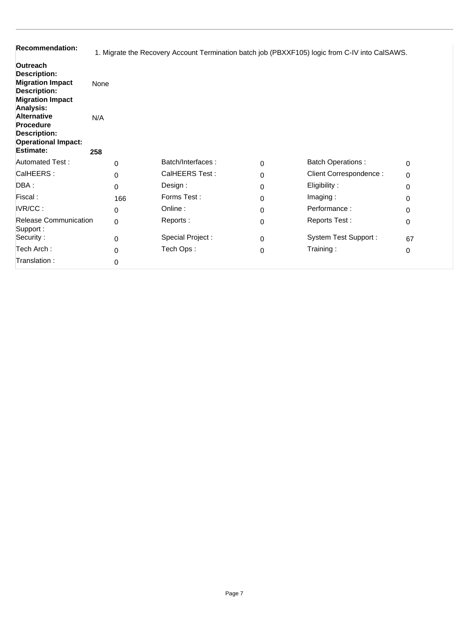| <b>Recommendation:</b>                                                                                                                                                                                                                       | 1. Migrate the Recovery Account Termination batch job (PBXXF105) logic from C-IV into CalSAWS. |                   |          |                             |          |  |
|----------------------------------------------------------------------------------------------------------------------------------------------------------------------------------------------------------------------------------------------|------------------------------------------------------------------------------------------------|-------------------|----------|-----------------------------|----------|--|
| Outreach<br>Description:<br><b>Migration Impact</b><br><b>Description:</b><br><b>Migration Impact</b><br><b>Analysis:</b><br><b>Alternative</b><br><b>Procedure</b><br><b>Description:</b><br><b>Operational Impact:</b><br><b>Estimate:</b> | None<br>N/A<br>258                                                                             |                   |          |                             |          |  |
| <b>Automated Test:</b>                                                                                                                                                                                                                       | 0                                                                                              | Batch/Interfaces: | $\Omega$ | <b>Batch Operations:</b>    | $\Omega$ |  |
| CalHEERS:                                                                                                                                                                                                                                    | 0                                                                                              | CalHEERS Test:    | 0        | Client Correspondence :     | 0        |  |
| DBA:                                                                                                                                                                                                                                         | 0                                                                                              | Design:           | $\Omega$ | Eligibility:                | 0        |  |
| Fiscal:                                                                                                                                                                                                                                      | 166                                                                                            | Forms Test:       | $\Omega$ | Imaging:                    | 0        |  |
| IVR/CC:                                                                                                                                                                                                                                      | 0                                                                                              | Online:           | $\Omega$ | Performance:                | 0        |  |
| <b>Release Communication</b><br>Support:                                                                                                                                                                                                     | $\Omega$                                                                                       | Reports:          | $\Omega$ | Reports Test:               | 0        |  |
| Security:                                                                                                                                                                                                                                    | 0                                                                                              | Special Project:  | 0        | <b>System Test Support:</b> | 67       |  |
| Tech Arch:                                                                                                                                                                                                                                   | 0                                                                                              | Tech Ops:         | 0        | Training:                   | 0        |  |
| Translation:                                                                                                                                                                                                                                 | 0                                                                                              |                   |          |                             |          |  |